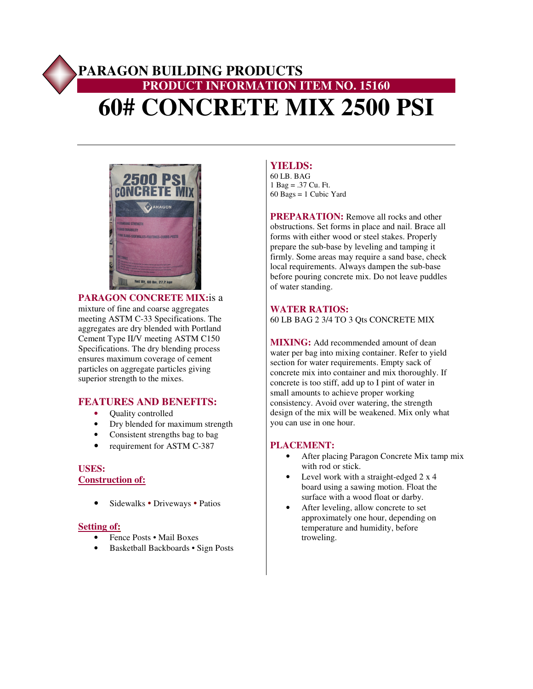# **PARAGON BUILDING PRODUCTS PRODUCT INFORMATION ITEM NO. 15160 60# CONCRETE MIX 2500 PSI**



**PARAGON CONCRETE MIX:**is a mixture of fine and coarse aggregates meeting ASTM C-33 Specifications. The aggregates are dry blended with Portland Cement Type II/V meeting ASTM C150 Specifications. The dry blending process ensures maximum coverage of cement particles on aggregate particles giving superior strength to the mixes.

## **FEATURES AND BENEFITS:**

- Ouality controlled
- Dry blended for maximum strength
- Consistent strengths bag to bag
- requirement for ASTM C-387

### **USES: Construction of:**

• Sidewalks • Driveways • Patios

#### **Setting of:**

- Fence Posts Mail Boxes
- Basketball Backboards Sign Posts

## **YIELDS:**

60 LB. BAG 1 Bag = .37 Cu. Ft. 60 Bags = 1 Cubic Yard

**PREPARATION:** Remove all rocks and other obstructions. Set forms in place and nail. Brace all forms with either wood or steel stakes. Properly prepare the sub-base by leveling and tamping it firmly. Some areas may require a sand base, check local requirements. Always dampen the sub-base before pouring concrete mix. Do not leave puddles of water standing.

### **WATER RATIOS:**

60 LB BAG 2 3/4 TO 3 Qts CONCRETE MIX

**MIXING:** Add recommended amount of dean water per bag into mixing container. Refer to yield section for water requirements. Empty sack of concrete mix into container and mix thoroughly. If concrete is too stiff, add up to I pint of water in small amounts to achieve proper working consistency. Avoid over watering, the strength design of the mix will be weakened. Mix only what you can use in one hour.

#### **PLACEMENT:**

- After placing Paragon Concrete Mix tamp mix with rod or stick.
- Level work with a straight-edged 2 x 4 board using a sawing motion. Float the surface with a wood float or darby.
- After leveling, allow concrete to set approximately one hour, depending on temperature and humidity, before troweling.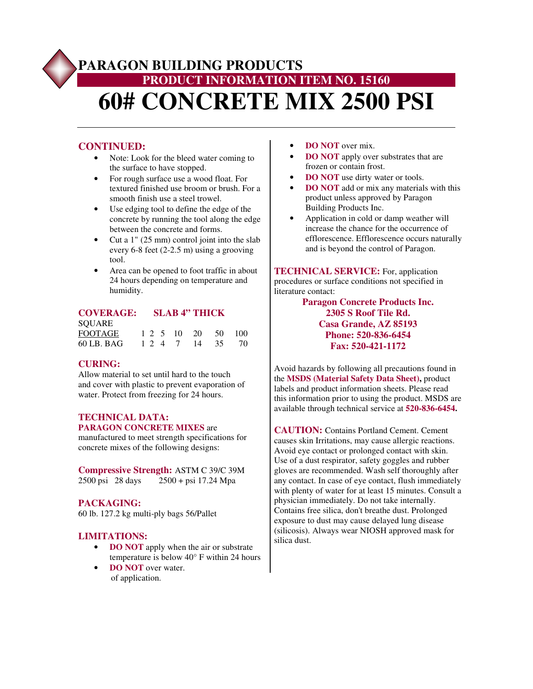# **PARAGON BUILDING PRODUCTS PRODUCT INFORMATION ITEM NO. 15160 60# CONCRETE MIX 2500 PSI**

## **CONTINUED:**

- Note: Look for the bleed water coming to the surface to have stopped.
- For rough surface use a wood float. For textured finished use broom or brush. For a smooth finish use a steel trowel.
- Use edging tool to define the edge of the concrete by running the tool along the edge between the concrete and forms.
- Cut a 1" (25 mm) control joint into the slab every 6-8 feet (2-2.5 m) using a grooving tool.
- Area can be opened to foot traffic in about 24 hours depending on temperature and humidity.

## **COVERAGE: SLAB 4" THICK**

| SOUARE         |  |  |                    |  |
|----------------|--|--|--------------------|--|
| <b>FOOTAGE</b> |  |  | 1 2 5 10 20 50 100 |  |
| 60 LB. BAG     |  |  | 1 2 4 7 14 35 70   |  |

## **CURING:**

Allow material to set until hard to the touch and cover with plastic to prevent evaporation of water. Protect from freezing for 24 hours.

#### **TECHNICAL DATA: PARAGON CONCRETE MIXES** are

manufactured to meet strength specifications for concrete mixes of the following designs:

**Compressive Strength:** ASTM C 39/C 39M 2500 psi 28 days 2500 + psi 17.24 Mpa

## **PACKAGING:**

60 lb. 127.2 kg multi-ply bags 56/Pallet

## **LIMITATIONS:**

- **DO NOT** apply when the air or substrate temperature is below 40° F within 24 hours
- **DO NOT** over water. of application.
- **DO NOT** over mix.
- **DO NOT** apply over substrates that are frozen or contain frost.
- **DO NOT** use dirty water or tools.
- **DO NOT** add or mix any materials with this product unless approved by Paragon Building Products Inc.
- Application in cold or damp weather will increase the chance for the occurrence of efflorescence. Efflorescence occurs naturally and is beyond the control of Paragon.

**TECHNICAL SERVICE:** For, application procedures or surface conditions not specified in literature contact:

> **Paragon Concrete Products Inc. 2305 S Roof Tile Rd. Casa Grande, AZ 85193 Phone: 520-836-6454 Fax: 520-421-1172**

Avoid hazards by following all precautions found in the **MSDS (Material Safety Data Sheet),** product labels and product information sheets. Please read this information prior to using the product. MSDS are available through technical service at **520-836-6454.**

**CAUTION:** Contains Portland Cement. Cement causes skin Irritations, may cause allergic reactions. Avoid eye contact or prolonged contact with skin. Use of a dust respirator, safety goggles and rubber gloves are recommended. Wash self thoroughly after any contact. In case of eye contact, flush immediately with plenty of water for at least 15 minutes. Consult a physician immediately. Do not take internally. Contains free silica, don't breathe dust. Prolonged exposure to dust may cause delayed lung disease (silicosis). Always wear NIOSH approved mask for silica dust.